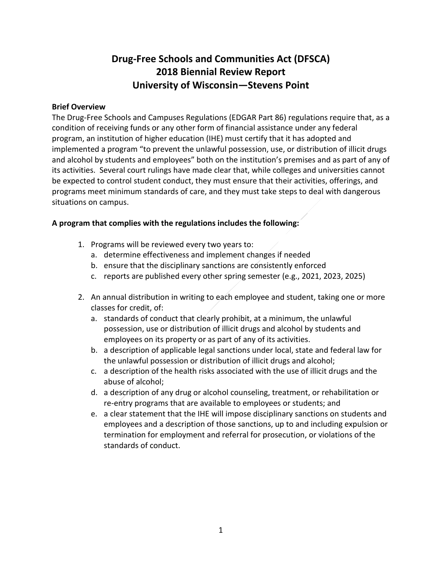## **Drug-Free Schools and Communities Act (DFSCA) 2018 Biennial Review Report University of Wisconsin—Stevens Point**

### **Brief Overview**

The Drug-Free Schools and Campuses Regulations (EDGAR Part 86) regulations require that, as a condition of receiving funds or any other form of financial assistance under any federal program, an institution of higher education (IHE) must certify that it has adopted and implemented a program "to prevent the unlawful possession, use, or distribution of illicit drugs and alcohol by students and employees" both on the institution's premises and as part of any of its activities. Several court rulings have made clear that, while colleges and universities cannot be expected to control student conduct, they must ensure that their activities, offerings, and programs meet minimum standards of care, and they must take steps to deal with dangerous situations on campus.

## **A program that complies with the regulations includes the following:**

- 1. Programs will be reviewed every two years to:
	- a. determine effectiveness and implement changes if needed
	- b. ensure that the disciplinary sanctions are consistently enforced
	- c. reports are published every other spring semester (e.g., 2021, 2023, 2025)
- 2. An annual distribution in writing to each employee and student, taking one or more classes for credit, of:
	- a. standards of conduct that clearly prohibit, at a minimum, the unlawful possession, use or distribution of illicit drugs and alcohol by students and employees on its property or as part of any of its activities.
	- b. a description of applicable legal sanctions under local, state and federal law for the unlawful possession or distribution of illicit drugs and alcohol;
	- c. a description of the health risks associated with the use of illicit drugs and the abuse of alcohol;
	- d. a description of any drug or alcohol counseling, treatment, or rehabilitation or re-entry programs that are available to employees or students; and
	- e. a clear statement that the IHE will impose disciplinary sanctions on students and employees and a description of those sanctions, up to and including expulsion or termination for employment and referral for prosecution, or violations of the standards of conduct.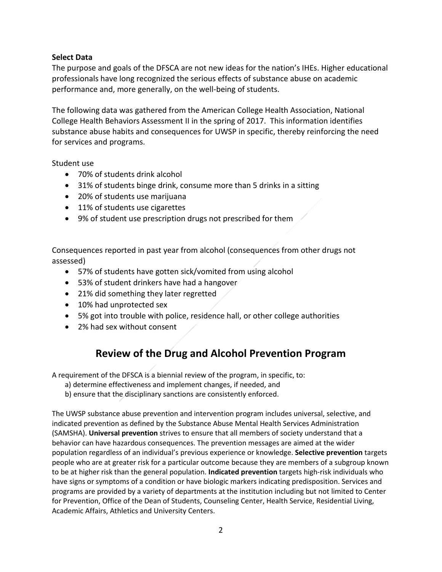## **Select Data**

The purpose and goals of the DFSCA are not new ideas for the nation's IHEs. Higher educational professionals have long recognized the serious effects of substance abuse on academic performance and, more generally, on the well-being of students.

The following data was gathered from the American College Health Association, National College Health Behaviors Assessment II in the spring of 2017. This information identifies substance abuse habits and consequences for UWSP in specific, thereby reinforcing the need for services and programs.

Student use

- 70% of students drink alcohol
- 31% of students binge drink, consume more than 5 drinks in a sitting
- 20% of students use marijuana
- 11% of students use cigarettes
- 9% of student use prescription drugs not prescribed for them

Consequences reported in past year from alcohol (consequences from other drugs not assessed)

- 57% of students have gotten sick/vomited from using alcohol
- 53% of student drinkers have had a hangover
- 21% did something they later regretted
- 10% had unprotected sex
- 5% got into trouble with police, residence hall, or other college authorities
- 2% had sex without consent

# **Review of the Drug and Alcohol Prevention Program**

A requirement of the DFSCA is a biennial review of the program, in specific, to:

- a) determine effectiveness and implement changes, if needed, and
- b) ensure that the disciplinary sanctions are consistently enforced.

The UWSP substance abuse prevention and intervention program includes universal, selective, and indicated prevention as defined by the Substance Abuse Mental Health Services Administration (SAMSHA). **Universal prevention** strives to ensure that all members of society understand that a behavior can have hazardous consequences. The prevention messages are aimed at the wider population regardless of an individual's previous experience or knowledge. **Selective prevention** targets people who are at greater risk for a particular outcome because they are members of a subgroup known to be at higher risk than the general population. **Indicated prevention** targets high-risk individuals who have signs or symptoms of a condition or have biologic markers indicating predisposition. Services and programs are provided by a variety of departments at the institution including but not limited to Center for Prevention, Office of the Dean of Students, Counseling Center, Health Service, Residential Living, Academic Affairs, Athletics and University Centers.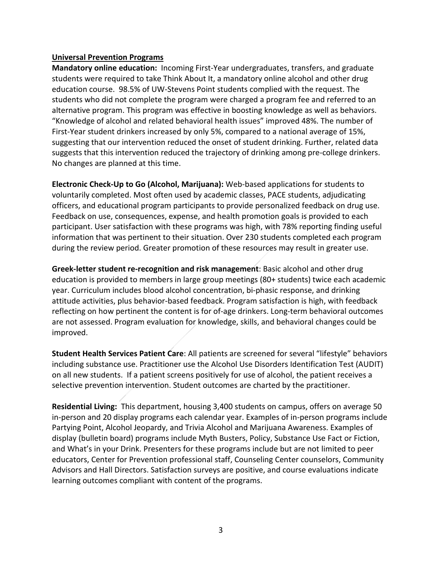#### **Universal Prevention Programs**

**Mandatory online education:** Incoming First-Year undergraduates, transfers, and graduate students were required to take Think About It, a mandatory online alcohol and other drug education course. 98.5% of UW-Stevens Point students complied with the request. The students who did not complete the program were charged a program fee and referred to an alternative program. This program was effective in boosting knowledge as well as behaviors. "Knowledge of alcohol and related behavioral health issues" improved 48%. The number of First-Year student drinkers increased by only 5%, compared to a national average of 15%, suggesting that our intervention reduced the onset of student drinking. Further, related data suggests that this intervention reduced the trajectory of drinking among pre-college drinkers. No changes are planned at this time.

**Electronic Check-Up to Go (Alcohol, Marijuana):** Web-based applications for students to voluntarily completed. Most often used by academic classes, PACE students, adjudicating officers, and educational program participants to provide personalized feedback on drug use. Feedback on use, consequences, expense, and health promotion goals is provided to each participant. User satisfaction with these programs was high, with 78% reporting finding useful information that was pertinent to their situation. Over 230 students completed each program during the review period. Greater promotion of these resources may result in greater use.

**Greek-letter student re-recognition and risk management**: Basic alcohol and other drug education is provided to members in large group meetings (80+ students) twice each academic year. Curriculum includes blood alcohol concentration, bi-phasic response, and drinking attitude activities, plus behavior-based feedback. Program satisfaction is high, with feedback reflecting on how pertinent the content is for of-age drinkers. Long-term behavioral outcomes are not assessed. Program evaluation for knowledge, skills, and behavioral changes could be improved.

**Student Health Services Patient Care**: All patients are screened for several "lifestyle" behaviors including substance use. Practitioner use the Alcohol Use Disorders Identification Test (AUDIT) on all new students. If a patient screens positively for use of alcohol, the patient receives a selective prevention intervention. Student outcomes are charted by the practitioner.

**Residential Living:** This department, housing 3,400 students on campus, offers on average 50 in-person and 20 display programs each calendar year. Examples of in-person programs include Partying Point, Alcohol Jeopardy, and Trivia Alcohol and Marijuana Awareness. Examples of display (bulletin board) programs include Myth Busters, Policy, Substance Use Fact or Fiction, and What's in your Drink. Presenters for these programs include but are not limited to peer educators, Center for Prevention professional staff, Counseling Center counselors, Community Advisors and Hall Directors. Satisfaction surveys are positive, and course evaluations indicate learning outcomes compliant with content of the programs.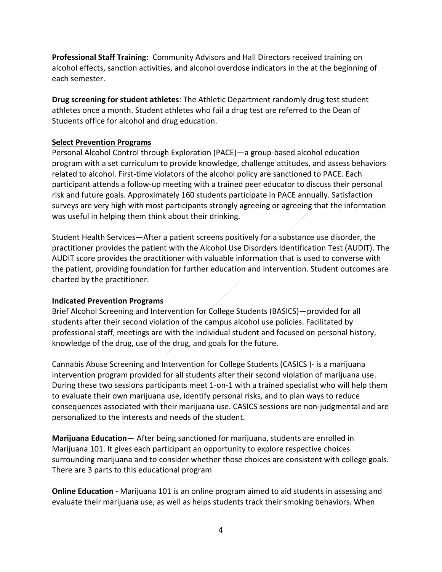**Professional Staff Training:** Community Advisors and Hall Directors received training on alcohol effects, sanction activities, and alcohol overdose indicators in the at the beginning of each semester.

**Drug screening for student athletes**: The Athletic Department randomly drug test student athletes once a month. Student athletes who fail a drug test are referred to the Dean of Students office for alcohol and drug education.

## **Select Prevention Programs**

Personal Alcohol Control through Exploration (PACE)—a group-based alcohol education program with a set curriculum to provide knowledge, challenge attitudes, and assess behaviors related to alcohol. First-time violators of the alcohol policy are sanctioned to PACE. Each participant attends a follow-up meeting with a trained peer educator to discuss their personal risk and future goals. Approximately 160 students participate in PACE annually. Satisfaction surveys are very high with most participants strongly agreeing or agreeing that the information was useful in helping them think about their drinking.

Student Health Services—After a patient screens positively for a substance use disorder, the practitioner provides the patient with the Alcohol Use Disorders Identification Test (AUDIT). The AUDIT score provides the practitioner with valuable information that is used to converse with the patient, providing foundation for further education and intervention. Student outcomes are charted by the practitioner.

### **Indicated Prevention Programs**

Brief Alcohol Screening and Intervention for College Students (BASICS)—provided for all students after their second violation of the campus alcohol use policies. Facilitated by professional staff, meetings are with the individual student and focused on personal history, knowledge of the drug, use of the drug, and goals for the future.

Cannabis Abuse Screening and Intervention for College Students (CASICS )- is a marijuana intervention program provided for all students after their second violation of marijuana use. During these two sessions participants meet 1-on-1 with a trained specialist who will help them to evaluate their own marijuana use, identify personal risks, and to plan ways to reduce consequences associated with their marijuana use. CASICS sessions are non-judgmental and are personalized to the interests and needs of the student.

**Marijuana Education**— After being sanctioned for marijuana, students are enrolled in Marijuana 101. It gives each participant an opportunity to explore respective choices surrounding marijuana and to consider whether those choices are consistent with college goals. There are 3 parts to this educational program

**Online Education -** Marijuana 101 is an online program aimed to aid students in assessing and evaluate their marijuana use, as well as helps students track their smoking behaviors. When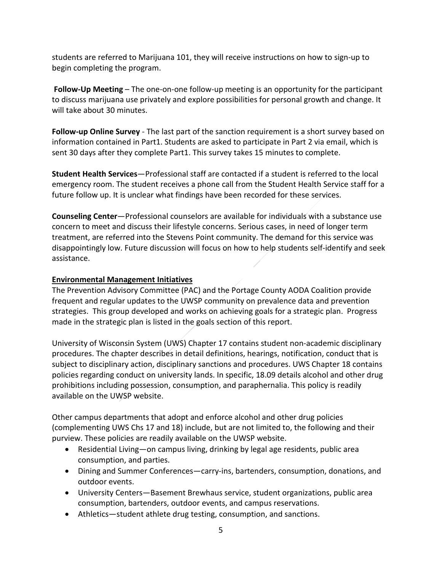students are referred to Marijuana 101, they will receive instructions on how to sign-up to begin completing the program.

**Follow-Up Meeting** – The one-on-one follow-up meeting is an opportunity for the participant to discuss marijuana use privately and explore possibilities for personal growth and change. It will take about 30 minutes.

**Follow-up Online Survey** - The last part of the sanction requirement is a short survey based on information contained in Part1. Students are asked to participate in Part 2 via email, which is sent 30 days after they complete Part1. This survey takes 15 minutes to complete.

**Student Health Services**—Professional staff are contacted if a student is referred to the local emergency room. The student receives a phone call from the Student Health Service staff for a future follow up. It is unclear what findings have been recorded for these services.

**Counseling Center**—Professional counselors are available for individuals with a substance use concern to meet and discuss their lifestyle concerns. Serious cases, in need of longer term treatment, are referred into the Stevens Point community. The demand for this service was disappointingly low. Future discussion will focus on how to help students self-identify and seek assistance.

## **Environmental Management Initiatives**

The Prevention Advisory Committee (PAC) and the Portage County AODA Coalition provide frequent and regular updates to the UWSP community on prevalence data and prevention strategies. This group developed and works on achieving goals for a strategic plan. Progress made in the strategic plan is listed in the goals section of this report.

University of Wisconsin System (UWS) Chapter 17 contains student non-academic disciplinary procedures. The chapter describes in detail definitions, hearings, notification, conduct that is subject to disciplinary action, disciplinary sanctions and procedures. UWS Chapter 18 contains policies regarding conduct on university lands. In specific, 18.09 details alcohol and other drug prohibitions including possession, consumption, and paraphernalia. This policy is readily available on the UWSP website.

Other campus departments that adopt and enforce alcohol and other drug policies (complementing UWS Chs 17 and 18) include, but are not limited to, the following and their purview. These policies are readily available on the UWSP website.

- Residential Living—on campus living, drinking by legal age residents, public area consumption, and parties.
- Dining and Summer Conferences—carry-ins, bartenders, consumption, donations, and outdoor events.
- University Centers—Basement Brewhaus service, student organizations, public area consumption, bartenders, outdoor events, and campus reservations.
- Athletics—student athlete drug testing, consumption, and sanctions.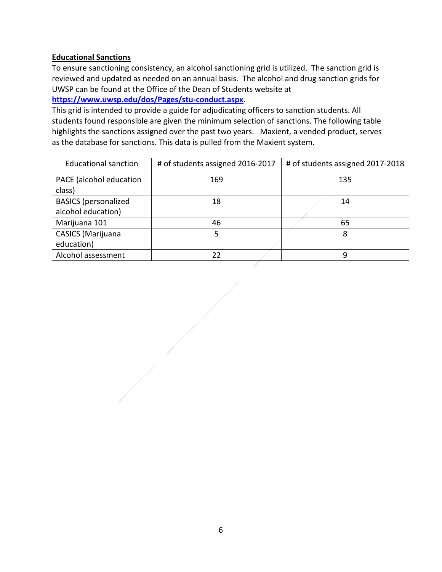## **Educational Sanctions**

To ensure sanctioning consistency, an alcohol sanctioning grid is utilized. The sanction grid is reviewed and updated as needed on an annual basis. The alcohol and drug sanction grids for UWSP can be found at the Office of the Dean of Students website at **<https://www.uwsp.edu/dos/Pages/stu-conduct.aspx>**.

This grid is intended to provide a guide for adjudicating officers to sanction students. All students found responsible are given the minimum selection of sanctions. The following table highlights the sanctions assigned over the past two years. Maxient, a vended product, serves as the database for sanctions. This data is pulled from the Maxient system.

| <b>Educational sanction</b> | # of students assigned 2016-2017 | # of students assigned 2017-2018 |
|-----------------------------|----------------------------------|----------------------------------|
| PACE (alcohol education     | 169                              | 135                              |
| class)                      |                                  |                                  |
| <b>BASICS</b> (personalized | 18                               | 14                               |
| alcohol education)          |                                  |                                  |
| Marijuana 101               | 46                               | 65                               |
| CASICS (Marijuana           | 5                                | 8                                |
| education)                  |                                  |                                  |
| Alcohol assessment          | 22                               | q                                |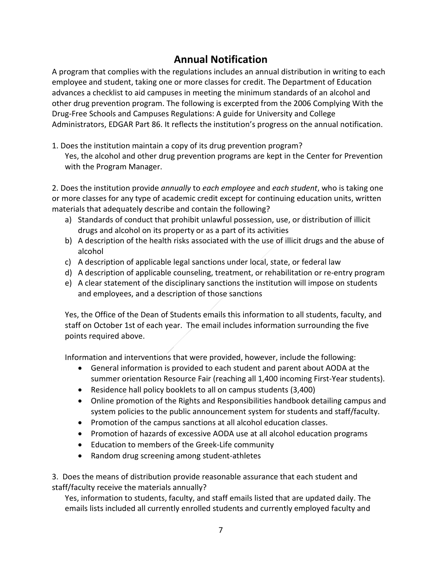## **Annual Notification**

A program that complies with the regulations includes an annual distribution in writing to each employee and student, taking one or more classes for credit. The Department of Education advances a checklist to aid campuses in meeting the minimum standards of an alcohol and other drug prevention program. The following is excerpted from the 2006 Complying With the Drug-Free Schools and Campuses Regulations: A guide for University and College Administrators, EDGAR Part 86. It reflects the institution's progress on the annual notification.

1. Does the institution maintain a copy of its drug prevention program? Yes, the alcohol and other drug prevention programs are kept in the Center for Prevention with the Program Manager.

2. Does the institution provide *annually* to *each employee* and *each student*, who is taking one or more classes for any type of academic credit except for continuing education units, written materials that adequately describe and contain the following?

- a) Standards of conduct that prohibit unlawful possession, use, or distribution of illicit drugs and alcohol on its property or as a part of its activities
- b) A description of the health risks associated with the use of illicit drugs and the abuse of alcohol
- c) A description of applicable legal sanctions under local, state, or federal law
- d) A description of applicable counseling, treatment, or rehabilitation or re-entry program
- e) A clear statement of the disciplinary sanctions the institution will impose on students and employees, and a description of those sanctions

Yes, the Office of the Dean of Students emails this information to all students, faculty, and staff on October 1st of each year. The email includes information surrounding the five points required above.

Information and interventions that were provided, however, include the following:

- General information is provided to each student and parent about AODA at the summer orientation Resource Fair (reaching all 1,400 incoming First-Year students).
- Residence hall policy booklets to all on campus students (3,400)
- Online promotion of the Rights and Responsibilities handbook detailing campus and system policies to the public announcement system for students and staff/faculty.
- Promotion of the campus sanctions at all alcohol education classes.
- Promotion of hazards of excessive AODA use at all alcohol education programs
- Education to members of the Greek-Life community
- Random drug screening among student-athletes

3. Does the means of distribution provide reasonable assurance that each student and staff/faculty receive the materials annually?

Yes, information to students, faculty, and staff emails listed that are updated daily. The emails lists included all currently enrolled students and currently employed faculty and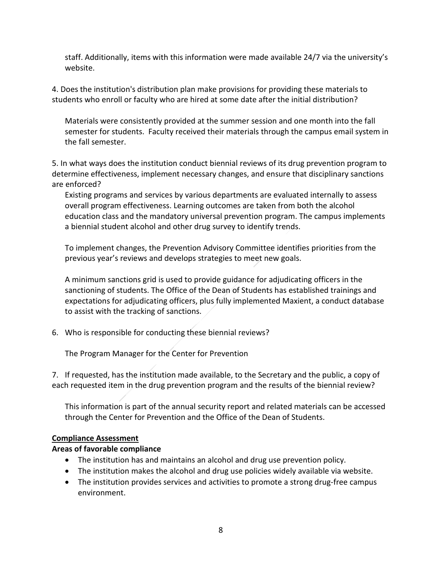staff. Additionally, items with this information were made available 24/7 via the university's website.

4. Does the institution's distribution plan make provisions for providing these materials to students who enroll or faculty who are hired at some date after the initial distribution?

Materials were consistently provided at the summer session and one month into the fall semester for students. Faculty received their materials through the campus email system in the fall semester.

5. In what ways does the institution conduct biennial reviews of its drug prevention program to determine effectiveness, implement necessary changes, and ensure that disciplinary sanctions are enforced?

Existing programs and services by various departments are evaluated internally to assess overall program effectiveness. Learning outcomes are taken from both the alcohol education class and the mandatory universal prevention program. The campus implements a biennial student alcohol and other drug survey to identify trends.

To implement changes, the Prevention Advisory Committee identifies priorities from the previous year's reviews and develops strategies to meet new goals.

A minimum sanctions grid is used to provide guidance for adjudicating officers in the sanctioning of students. The Office of the Dean of Students has established trainings and expectations for adjudicating officers, plus fully implemented Maxient, a conduct database to assist with the tracking of sanctions.

6. Who is responsible for conducting these biennial reviews?

The Program Manager for the Center for Prevention

7. If requested, has the institution made available, to the Secretary and the public, a copy of each requested item in the drug prevention program and the results of the biennial review?

This information is part of the annual security report and related materials can be accessed through the Center for Prevention and the Office of the Dean of Students.

### **Compliance Assessment**

### **Areas of favorable compliance**

- The institution has and maintains an alcohol and drug use prevention policy.
- The institution makes the alcohol and drug use policies widely available via website.
- The institution provides services and activities to promote a strong drug-free campus environment.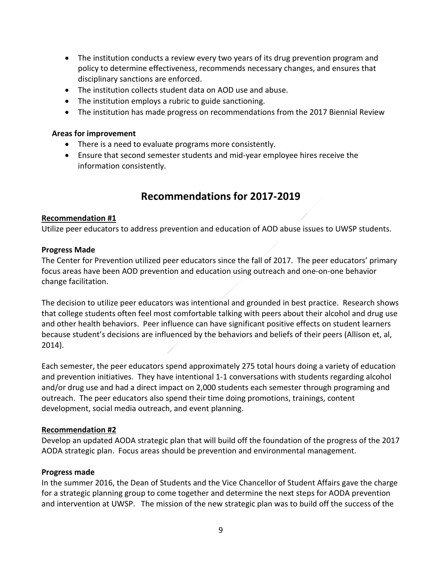- The institution conducts a review every two years of its drug prevention program and policy to determine effectiveness, recommends necessary changes, and ensures that disciplinary sanctions are enforced.
- The institution collects student data on AOD use and abuse.
- The institution employs a rubric to guide sanctioning.
- The institution has made progress on recommendations from the 2017 Biennial Review

#### **Areas for improvement**

- There is a need to evaluate programs more consistently.
- Ensure that second semester students and mid-year employee hires receive the information consistently.

## **Recommendations for 2017-2019**

#### **Recommendation #1**

Utilize peer educators to address prevention and education of AOD abuse issues to UWSP students.

#### **Progress Made**

The Center for Prevention utilized peer educators since the fall of 2017. The peer educators' primary focus areas have been AOD prevention and education using outreach and one-on-one behavior change facilitation.

The decision to utilize peer educators was intentional and grounded in best practice. Research shows that college students often feel most comfortable talking with peers about their alcohol and drug use and other health behaviors. Peer influence can have significant positive effects on student learners because student's decisions are influenced by the behaviors and beliefs of their peers (Allison et, al, 2014).

Each semester, the peer educators spend approximately 275 total hours doing a variety of education and prevention initiatives. They have intentional 1-1 conversations with students regarding alcohol and/or drug use and had a direct impact on 2,000 students each semester through programing and outreach. The peer educators also spend their time doing promotions, trainings, content development, social media outreach, and event planning.

### **Recommendation #2**

Develop an updated AODA strategic plan that will build off the foundation of the progress of the 2017 AODA strategic plan. Focus areas should be prevention and environmental management.

### **Progress made**

In the summer 2016, the Dean of Students and the Vice Chancellor of Student Affairs gave the charge for a strategic planning group to come together and determine the next steps for AODA prevention and intervention at UWSP. The mission of the new strategic plan was to build off the success of the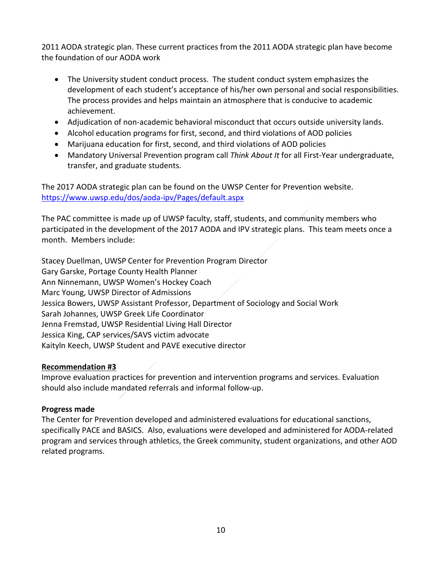2011 AODA strategic plan. These current practices from the 2011 AODA strategic plan have become the foundation of our AODA work

- The University student conduct process. The student conduct system emphasizes the development of each student's acceptance of his/her own personal and social responsibilities. The process provides and helps maintain an atmosphere that is conducive to academic achievement.
- Adjudication of non-academic behavioral misconduct that occurs outside university lands.
- Alcohol education programs for first, second, and third violations of AOD policies
- Marijuana education for first, second, and third violations of AOD policies
- Mandatory Universal Prevention program call *Think About It* for all First-Year undergraduate, transfer, and graduate students.

The 2017 AODA strategic plan can be found on the UWSP Center for Prevention website. <https://www.uwsp.edu/dos/aoda-ipv/Pages/default.aspx>

The PAC committee is made up of UWSP faculty, staff, students, and community members who participated in the development of the 2017 AODA and IPV strategic plans. This team meets once a month. Members include:

Stacey Duellman, UWSP Center for Prevention Program Director Gary Garske, Portage County Health Planner Ann Ninnemann, UWSP Women's Hockey Coach Marc Young, UWSP Director of Admissions Jessica Bowers, UWSP Assistant Professor, Department of Sociology and Social Work Sarah Johannes, UWSP Greek Life Coordinator Jenna Fremstad, UWSP Residential Living Hall Director Jessica King, CAP services/SAVS victim advocate Kaityln Keech, UWSP Student and PAVE executive director

## **Recommendation #3**

Improve evaluation practices for prevention and intervention programs and services. Evaluation should also include mandated referrals and informal follow-up.

### **Progress made**

The Center for Prevention developed and administered evaluations for educational sanctions, specifically PACE and BASICS. Also, evaluations were developed and administered for AODA-related program and services through athletics, the Greek community, student organizations, and other AOD related programs.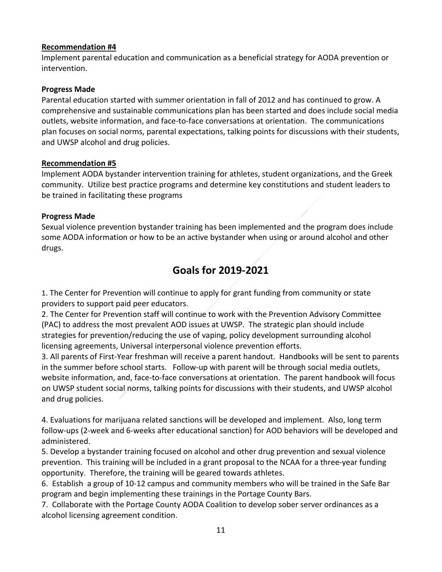## **Recommendation #4**

Implement parental education and communication as a beneficial strategy for AODA prevention or intervention.

### **Progress Made**

Parental education started with summer orientation in fall of 2012 and has continued to grow. A comprehensive and sustainable communications plan has been started and does include social media outlets, website information, and face-to-face conversations at orientation. The communications plan focuses on social norms, parental expectations, talking points for discussions with their students, and UWSP alcohol and drug policies.

#### **Recommendation #5**

Implement AODA bystander intervention training for athletes, student organizations, and the Greek community. Utilize best practice programs and determine key constitutions and student leaders to be trained in facilitating these programs

### **Progress Made**

Sexual violence prevention bystander training has been implemented and the program does include some AODA information or how to be an active bystander when using or around alcohol and other drugs.

## **Goals for 2019-2021**

1. The Center for Prevention will continue to apply for grant funding from community or state providers to support paid peer educators.

2. The Center for Prevention staff will continue to work with the Prevention Advisory Committee (PAC) to address the most prevalent AOD issues at UWSP. The strategic plan should include strategies for prevention/reducing the use of vaping, policy development surrounding alcohol licensing agreements, Universal interpersonal violence prevention efforts.

3. All parents of First-Year freshman will receive a parent handout. Handbooks will be sent to parents in the summer before school starts. Follow-up with parent will be through social media outlets, website information, and, face-to-face conversations at orientation. The parent handbook will focus on UWSP student social norms, talking points for discussions with their students, and UWSP alcohol and drug policies.

4. Evaluations for marijuana related sanctions will be developed and implement. Also, long term follow-ups (2-week and 6-weeks after educational sanction) for AOD behaviors will be developed and administered.

5. Develop a bystander training focused on alcohol and other drug prevention and sexual violence prevention. This training will be included in a grant proposal to the NCAA for a three-year funding opportunity. Therefore, the training will be geared towards athletes.

6. Establish a group of 10-12 campus and community members who will be trained in the Safe Bar program and begin implementing these trainings in the Portage County Bars.

7. Collaborate with the Portage County AODA Coalition to develop sober server ordinances as a alcohol licensing agreement condition.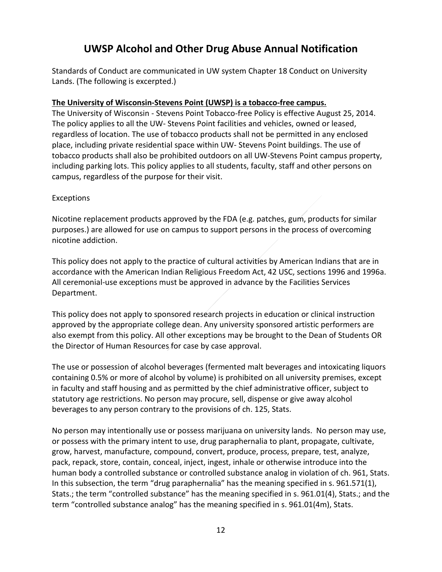## **UWSP Alcohol and Other Drug Abuse Annual Notification**

Standards of Conduct are communicated in UW system Chapter 18 Conduct on University Lands. (The following is excerpted.)

## **The University of Wisconsin-Stevens Point (UWSP) is a tobacco-free campus.**

The University of Wisconsin - Stevens Point Tobacco-free Policy is effective August 25, 2014. The policy applies to all the UW- Stevens Point facilities and vehicles, owned or leased, regardless of location. The use of tobacco products shall not be permitted in any enclosed place, including private residential space within UW- Stevens Point buildings. The use of tobacco products shall also be prohibited outdoors on all UW-Stevens Point campus property, including parking lots. This policy applies to all students, faculty, staff and other persons on campus, regardless of the purpose for their visit.

## Exceptions

Nicotine replacement products approved by the FDA (e.g. patches, gum, products for similar purposes.) are allowed for use on campus to support persons in the process of overcoming nicotine addiction.

This policy does not apply to the practice of cultural activities by American Indians that are in accordance with the American Indian Religious Freedom Act, 42 USC, sections 1996 and 1996a. All ceremonial-use exceptions must be approved in advance by the Facilities Services Department.

This policy does not apply to sponsored research projects in education or clinical instruction approved by the appropriate college dean. Any university sponsored artistic performers are also exempt from this policy. All other exceptions may be brought to the Dean of Students OR the Director of Human Resources for case by case approval.

The use or possession of alcohol beverages (fermented malt beverages and intoxicating liquors containing 0.5% or more of alcohol by volume) is prohibited on all university premises, except in faculty and staff housing and as permitted by the chief administrative officer, subject to statutory age restrictions. No person may procure, sell, dispense or give away alcohol beverages to any person contrary to the provisions of ch. 125, Stats.

No person may intentionally use or possess marijuana on university lands. No person may use, or possess with the primary intent to use, drug paraphernalia to plant, propagate, cultivate, grow, harvest, manufacture, compound, convert, produce, process, prepare, test, analyze, pack, repack, store, contain, conceal, inject, ingest, inhale or otherwise introduce into the human body a controlled substance or controlled substance analog in violation of ch. 961, Stats. In this subsection, the term "drug paraphernalia" has the meaning specified in s. 961.571(1), Stats.; the term "controlled substance" has the meaning specified in s. 961.01(4), Stats.; and the term "controlled substance analog" has the meaning specified in s. 961.01(4m), Stats.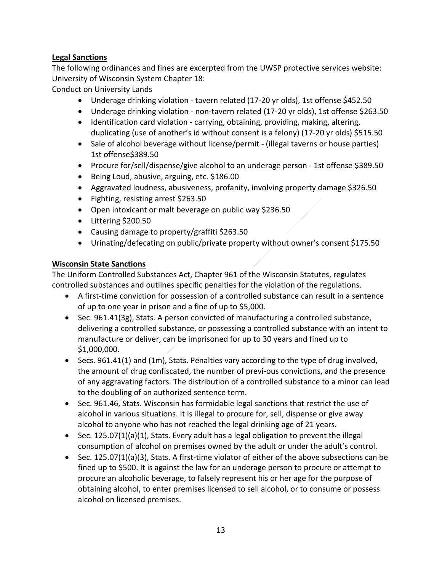## **Legal Sanctions**

The following ordinances and fines are excerpted from the UWSP protective services website: University of Wisconsin System Chapter 18:

Conduct on University Lands

- Underage drinking violation tavern related (17-20 yr olds), 1st offense \$452.50
- Underage drinking violation non-tavern related (17-20 yr olds), 1st offense \$263.50
- Identification card violation carrying, obtaining, providing, making, altering, duplicating (use of another's id without consent is a felony) (17-20 yr olds) \$515.50
- Sale of alcohol beverage without license/permit (illegal taverns or house parties) 1st offense\$389.50
- Procure for/sell/dispense/give alcohol to an underage person 1st offense \$389.50
- Being Loud, abusive, arguing, etc. \$186.00
- Aggravated loudness, abusiveness, profanity, involving property damage \$326.50
- Fighting, resisting arrest \$263.50
- Open intoxicant or malt beverage on public way \$236.50
- Littering \$200.50
- Causing damage to property/graffiti \$263.50
- Urinating/defecating on public/private property without owner's consent \$175.50

## **Wisconsin State Sanctions**

The Uniform Controlled Substances Act, Chapter 961 of the Wisconsin Statutes, regulates controlled substances and outlines specific penalties for the violation of the regulations.

- A first-time conviction for possession of a controlled substance can result in a sentence of up to one year in prison and a fine of up to \$5,000.
- Sec. 961.41(3g), Stats. A person convicted of manufacturing a controlled substance, delivering a controlled substance, or possessing a controlled substance with an intent to manufacture or deliver, can be imprisoned for up to 30 years and fined up to \$1,000,000.
- Secs. 961.41(1) and (1m), Stats. Penalties vary according to the type of drug involved, the amount of drug confiscated, the number of previ-ous convictions, and the presence of any aggravating factors. The distribution of a controlled substance to a minor can lead to the doubling of an authorized sentence term.
- Sec. 961.46, Stats. Wisconsin has formidable legal sanctions that restrict the use of alcohol in various situations. It is illegal to procure for, sell, dispense or give away alcohol to anyone who has not reached the legal drinking age of 21 years.
- Sec. 125.07(1)(a)(1), Stats. Every adult has a legal obligation to prevent the illegal consumption of alcohol on premises owned by the adult or under the adult's control.
- Sec. 125.07(1)(a)(3), Stats. A first-time violator of either of the above subsections can be fined up to \$500. It is against the law for an underage person to procure or attempt to procure an alcoholic beverage, to falsely represent his or her age for the purpose of obtaining alcohol, to enter premises licensed to sell alcohol, or to consume or possess alcohol on licensed premises.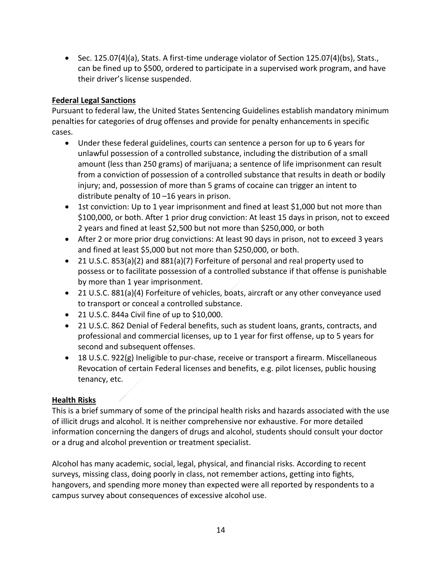• Sec. 125.07(4)(a), Stats. A first-time underage violator of Section 125.07(4)(bs), Stats., can be fined up to \$500, ordered to participate in a supervised work program, and have their driver's license suspended.

## **Federal Legal Sanctions**

Pursuant to federal law, the United States Sentencing Guidelines establish mandatory minimum penalties for categories of drug offenses and provide for penalty enhancements in specific cases.

- Under these federal guidelines, courts can sentence a person for up to 6 years for unlawful possession of a controlled substance, including the distribution of a small amount (less than 250 grams) of marijuana; a sentence of life imprisonment can result from a conviction of possession of a controlled substance that results in death or bodily injury; and, possession of more than 5 grams of cocaine can trigger an intent to distribute penalty of 10 –16 years in prison.
- 1st conviction: Up to 1 year imprisonment and fined at least \$1,000 but not more than \$100,000, or both. After 1 prior drug conviction: At least 15 days in prison, not to exceed 2 years and fined at least \$2,500 but not more than \$250,000, or both
- After 2 or more prior drug convictions: At least 90 days in prison, not to exceed 3 years and fined at least \$5,000 but not more than \$250,000, or both.
- 21 U.S.C. 853(a)(2) and 881(a)(7) Forfeiture of personal and real property used to possess or to facilitate possession of a controlled substance if that offense is punishable by more than 1 year imprisonment.
- 21 U.S.C. 881(a)(4) Forfeiture of vehicles, boats, aircraft or any other conveyance used to transport or conceal a controlled substance.
- 21 U.S.C. 844a Civil fine of up to \$10,000.
- 21 U.S.C. 862 Denial of Federal benefits, such as student loans, grants, contracts, and professional and commercial licenses, up to 1 year for first offense, up to 5 years for second and subsequent offenses.
- 18 U.S.C. 922(g) Ineligible to pur-chase, receive or transport a firearm. Miscellaneous Revocation of certain Federal licenses and benefits, e.g. pilot licenses, public housing tenancy, etc.

## **Health Risks**

This is a brief summary of some of the principal health risks and hazards associated with the use of illicit drugs and alcohol. It is neither comprehensive nor exhaustive. For more detailed information concerning the dangers of drugs and alcohol, students should consult your doctor or a drug and alcohol prevention or treatment specialist.

Alcohol has many academic, social, legal, physical, and financial risks. According to recent surveys, missing class, doing poorly in class, not remember actions, getting into fights, hangovers, and spending more money than expected were all reported by respondents to a campus survey about consequences of excessive alcohol use.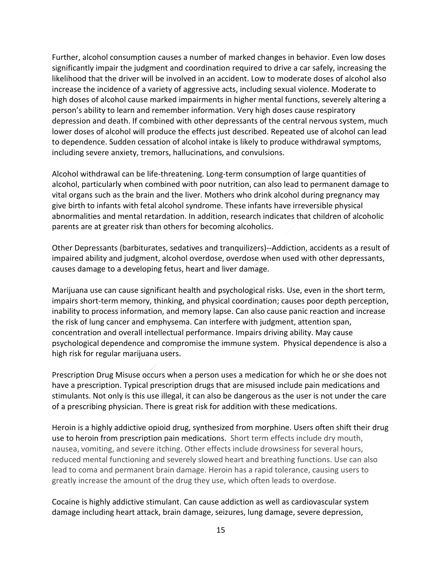Further, alcohol consumption causes a number of marked changes in behavior. Even low doses significantly impair the judgment and coordination required to drive a car safely, increasing the likelihood that the driver will be involved in an accident. Low to moderate doses of alcohol also increase the incidence of a variety of aggressive acts, including sexual violence. Moderate to high doses of alcohol cause marked impairments in higher mental functions, severely altering a person's ability to learn and remember information. Very high doses cause respiratory depression and death. If combined with other depressants of the central nervous system, much lower doses of alcohol will produce the effects just described. Repeated use of alcohol can lead to dependence. Sudden cessation of alcohol intake is likely to produce withdrawal symptoms, including severe anxiety, tremors, hallucinations, and convulsions.

Alcohol withdrawal can be life-threatening. Long-term consumption of large quantities of alcohol, particularly when combined with poor nutrition, can also lead to permanent damage to vital organs such as the brain and the liver. Mothers who drink alcohol during pregnancy may give birth to infants with fetal alcohol syndrome. These infants have irreversible physical abnormalities and mental retardation. In addition, research indicates that children of alcoholic parents are at greater risk than others for becoming alcoholics.

Other Depressants (barbiturates, sedatives and tranquilizers)--Addiction, accidents as a result of impaired ability and judgment, alcohol overdose, overdose when used with other depressants, causes damage to a developing fetus, heart and liver damage.

Marijuana use can cause significant health and psychological risks. Use, even in the short term, impairs short-term memory, thinking, and physical coordination; causes poor depth perception, inability to process information, and memory lapse. Can also cause panic reaction and increase the risk of lung cancer and emphysema. Can interfere with judgment, attention span, concentration and overall intellectual performance. Impairs driving ability. May cause psychological dependence and compromise the immune system. Physical dependence is also a high risk for regular marijuana users.

Prescription Drug Misuse occurs when a person uses a medication for which he or she does not have a prescription. Typical prescription drugs that are misused include pain medications and stimulants. Not only is this use illegal, it can also be dangerous as the user is not under the care of a prescribing physician. There is great risk for addition with these medications.

Heroin is a highly addictive opioid drug, synthesized from morphine. Users often shift their drug use to heroin from prescription pain medications. Short term effects include dry mouth, nausea, vomiting, and severe itching. Other effects include drowsiness for several hours, reduced mental functioning and severely slowed heart and breathing functions. Use can also lead to coma and permanent brain damage. Heroin has a rapid tolerance, causing users to greatly increase the amount of the drug they use, which often leads to overdose.

Cocaine is highly addictive stimulant. Can cause addiction as well as cardiovascular system damage including heart attack, brain damage, seizures, lung damage, severe depression,